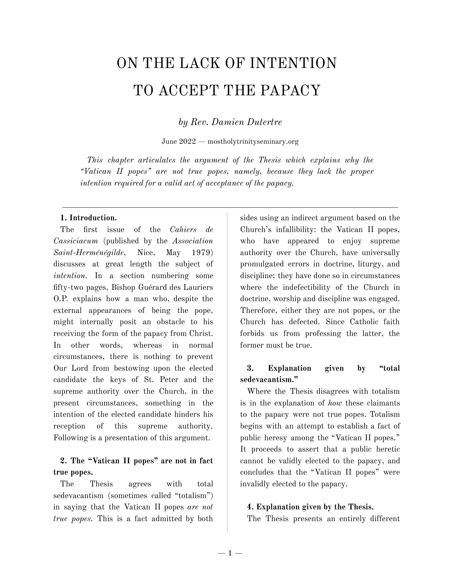# ON THE LACK OF INTENTION TO ACCEPT THE PAPACY

*by Rev. Damien Dutertre*

June 2022 — mostholytrinityseminary.org

*This chapter articulates the argument of the Thesis which explains why the "Vatican II popes" are not true popes, namely, because they lack the proper intention required for a valid act of acceptance of the papacy.*

#### **1. Introduction.**

The first issue of the *Cahiers de Cassiciacum* (published by the *Association Saint-Herménégilde*, Nice, May 1979) discusses at great length the subject of *intention*. In a section numbering some fifty-two pages, Bishop Guérard des Lauriers O.P. explains how a man who, despite the external appearances of being the pope, might internally posit an obstacle to his receiving the form of the papacy from Christ. In other words, whereas in normal circumstances, there is nothing to prevent Our Lord from bestowing upon the elected candidate the keys of St. Peter and the supreme authority over the Church, in the present circumstances, something in the intention of the elected candidate hinders his reception of this supreme authority. Following is a presentation of this argument.

# **2. The "Vatican II popes" are not in fact true popes.**

The Thesis agrees with total sedevacantism (sometimes called "totalism") in saying that the Vatican II popes *are not true popes.* This is a fact admitted by both sides using an indirect argument based on the Church's infallibility: the Vatican II popes, who have appeared to enjoy supreme authority over the Church, have universally promulgated errors in doctrine, liturgy, and discipline; they have done so in circumstances where the indefectibility of the Church in doctrine, worship and discipline was engaged. Therefore, either they are not popes, or the Church has defected. Since Catholic faith forbids us from professing the latter, the former must be true.

### **3. Explanation given by "total sedevacantism."**

Where the Thesis disagrees with totalism is in the explanation of *how* these claimants to the papacy were not true popes. Totalism begins with an attempt to establish a fact of public heresy among the "Vatican II popes." It proceeds to assert that a public heretic cannot be validly elected to the papacy, and concludes that the "Vatican II popes" were invalidly elected to the papacy.

#### **4. Explanation given by the Thesis.**

The Thesis presents an entirely different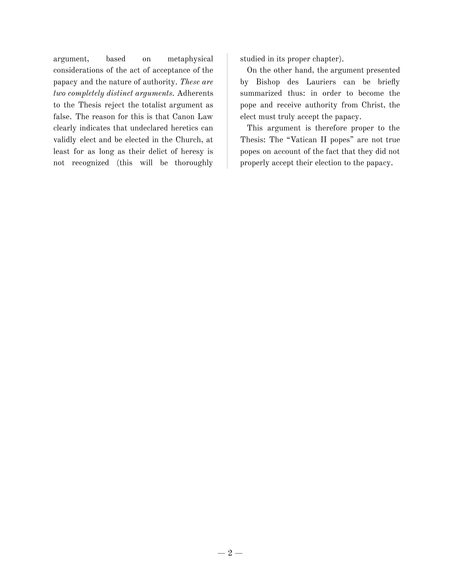argument, based on metaphysical considerations of the act of acceptance of the papacy and the nature of authority. *These are two completely distinct arguments.* Adherents to the Thesis reject the totalist argument as false. The reason for this is that Canon Law clearly indicates that undeclared heretics can validly elect and be elected in the Church, at least for as long as their delict of heresy is not recognized (this will be thoroughly studied in its proper chapter).

On the other hand, the argument presented by Bishop des Lauriers can be briefly summarized thus: in order to become the pope and receive authority from Christ, the elect must truly accept the papacy.

This argument is therefore proper to the Thesis: The "Vatican II popes" are not true popes on account of the fact that they did not properly accept their election to the papacy.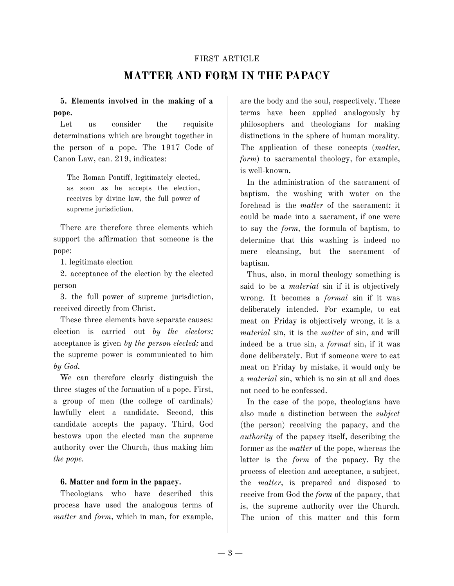#### FIRST ARTICLE

# **MATTER AND FORM IN THE PAPACY**

**5. Elements involved in the making of a pope.**

Let us consider the requisite determinations which are brought together in the person of a pope. The 1917 Code of Canon Law, can. 219, indicates:

The Roman Pontiff, legitimately elected, as soon as he accepts the election, receives by divine law, the full power of supreme jurisdiction.

There are therefore three elements which support the affirmation that someone is the pope:

1. legitimate election

2. acceptance of the election by the elected person

3. the full power of supreme jurisdiction, received directly from Christ.

These three elements have separate causes: election is carried out *by the electors;* acceptance is given *by the person elected;* and the supreme power is communicated to him *by God.*

We can therefore clearly distinguish the three stages of the formation of a pope. First, a group of men (the college of cardinals) lawfully elect a candidate. Second, this candidate accepts the papacy. Third, God bestows upon the elected man the supreme authority over the Church, thus making him *the pope.*

#### **6. Matter and form in the papacy.**

Theologians who have described this process have used the analogous terms of *matter* and *form*, which in man, for example,

are the body and the soul, respectively. These terms have been applied analogously by philosophers and theologians for making distinctions in the sphere of human morality. The application of these concepts (*matter*, *form*) to sacramental theology, for example, is well-known.

In the administration of the sacrament of baptism, the washing with water on the forehead is the *matter* of the sacrament: it could be made into a sacrament, if one were to say the *form*, the formula of baptism, to determine that this washing is indeed no mere cleansing, but the sacrament of baptism.

Thus, also, in moral theology something is said to be a *material* sin if it is objectively wrong. It becomes a *formal* sin if it was deliberately intended. For example, to eat meat on Friday is objectively wrong, it is a *material* sin, it is the *matter* of sin, and will indeed be a true sin, a *formal* sin, if it was done deliberately. But if someone were to eat meat on Friday by mistake, it would only be a *material* sin, which is no sin at all and does not need to be confessed.

In the case of the pope, theologians have also made a distinction between the *subject* (the person) receiving the papacy, and the *authority* of the papacy itself, describing the former as the *matter* of the pope, whereas the latter is the *form* of the papacy. By the process of election and acceptance, a subject, the *matter*, is prepared and disposed to receive from God the *form* of the papacy, that is, the supreme authority over the Church. The union of this matter and this form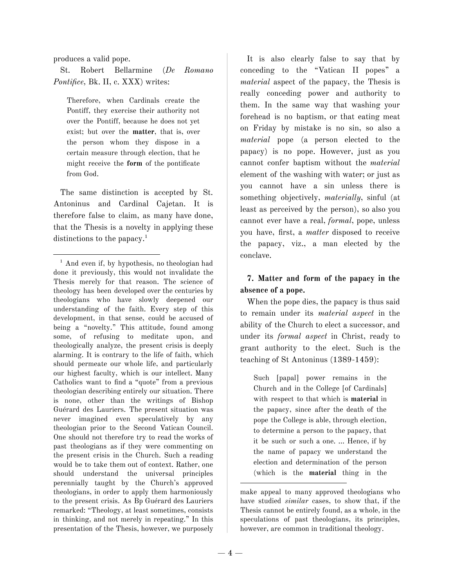produces a valid pope.

St. Robert Bellarmine (*De Romano Pontifice,* Bk. II, c. XXX) writes:

Therefore, when Cardinals create the Pontiff, they exercise their authority not over the Pontiff, because he does not yet exist; but over the **matter**, that is, over the person whom they dispose in a certain measure through election, that he might receive the **form** of the pontificate from God.

The same distinction is accepted by St. Antoninus and Cardinal Cajetan. It is therefore false to claim, as many have done, that the Thesis is a novelty in applying these distinctions to the papacy.<sup>1</sup>

It is also clearly false to say that by conceding to the "Vatican II popes" a *material* aspect of the papacy, the Thesis is really conceding power and authority to them. In the same way that washing your forehead is no baptism, or that eating meat on Friday by mistake is no sin, so also a *material* pope (a person elected to the papacy) is no pope. However, just as you cannot confer baptism without the *material* element of the washing with water; or just as you cannot have a sin unless there is something objectively, *materially*, sinful (at least as perceived by the person), so also you cannot ever have a real, *formal*, pope, unless you have, first, a *matter* disposed to receive the papacy, viz., a man elected by the conclave.

# **7. Matter and form of the papacy in the absence of a pope.**

When the pope dies, the papacy is thus said to remain under its *material aspect* in the ability of the Church to elect a successor, and under its *formal aspect* in Christ, ready to grant authority to the elect. Such is the teaching of St Antoninus (1389-1459):

Such [papal] power remains in the Church and in the College [of Cardinals] with respect to that which is **material** in the papacy, since after the death of the pope the College is able, through election, to determine a person to the papacy, that it be such or such a one. … Hence, if by the name of papacy we understand the election and determination of the person (which is the **material** thing in the

<sup>&</sup>lt;sup>1</sup> And even if, by hypothesis, no theologian had done it previously, this would not invalidate the Thesis merely for that reason. The science of theology has been developed over the centuries by theologians who have slowly deepened our understanding of the faith. Every step of this development, in that sense, could be accused of being a "novelty." This attitude, found among some, of refusing to meditate upon, and theologically analyze, the present crisis is deeply alarming. It is contrary to the life of faith, which should permeate our whole life, and particularly our highest faculty, which is our intellect. Many Catholics want to find a "quote" from a previous theologian describing entirely our situation. There is none, other than the writings of Bishop Guérard des Lauriers. The present situation was never imagined even speculatively by any theologian prior to the Second Vatican Council. One should not therefore try to read the works of past theologians as if they were commenting on the present crisis in the Church. Such a reading would be to take them out of context. Rather, one should understand the universal principles perennially taught by the Church's approved theologians, in order to apply them harmoniously to the present crisis. As Bp Guérard des Lauriers remarked: "Theology, at least sometimes, consists in thinking, and not merely in repeating." In this presentation of the Thesis, however, we purposely

make appeal to many approved theologians who have studied *similar* cases, to show that, if the Thesis cannot be entirely found, as a whole, in the speculations of past theologians, its principles, however, are common in traditional theology.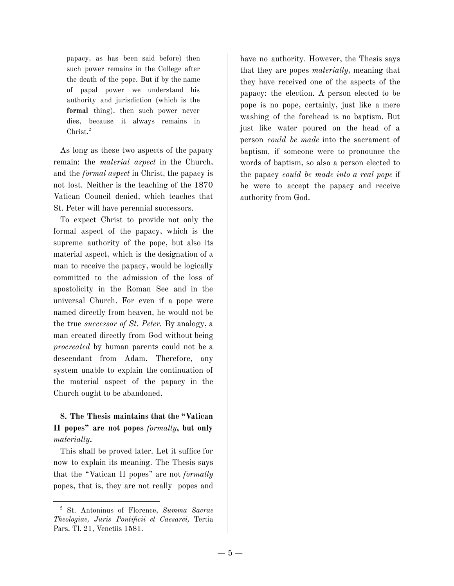papacy, as has been said before) then such power remains in the College after the death of the pope. But if by the name of papal power we understand his authority and jurisdiction (which is the **formal** thing), then such power never dies, because it always remains in Christ. 2

As long as these two aspects of the papacy remain: the *material aspect* in the Church, and the *formal aspect* in Christ, the papacy is not lost. Neither is the teaching of the 1870 Vatican Council denied, which teaches that St. Peter will have perennial successors.

To expect Christ to provide not only the formal aspect of the papacy, which is the supreme authority of the pope, but also its material aspect, which is the designation of a man to receive the papacy, would be logically committed to the admission of the loss of apostolicity in the Roman See and in the universal Church. For even if a pope were named directly from heaven, he would not be the true *successor of St. Peter.* By analogy, a man created directly from God without being *procreated* by human parents could not be a descendant from Adam. Therefore, any system unable to explain the continuation of the material aspect of the papacy in the Church ought to be abandoned.

# **8. The Thesis maintains that the "Vatican II popes" are not popes** *formally***, but only** *materially***.**

This shall be proved later. Let it suffice for now to explain its meaning. The Thesis says that the "Vatican II popes" are not *formally* popes, that is, they are not really popes and

have no authority. However, the Thesis says that they are popes *materially,* meaning that they have received one of the aspects of the papacy: the election. A person elected to be pope is no pope, certainly, just like a mere washing of the forehead is no baptism. But just like water poured on the head of a person *could be made* into the sacrament of baptism, if someone were to pronounce the words of baptism, so also a person elected to the papacy *could be made into a real pope* if he were to accept the papacy and receive authority from God.

<sup>2</sup> St. Antoninus of Florence, *Summa Sacrae Theologiae, Juris Pontificii et Caesarei,* Tertia Pars, Tl. 21, Venetiis 1581.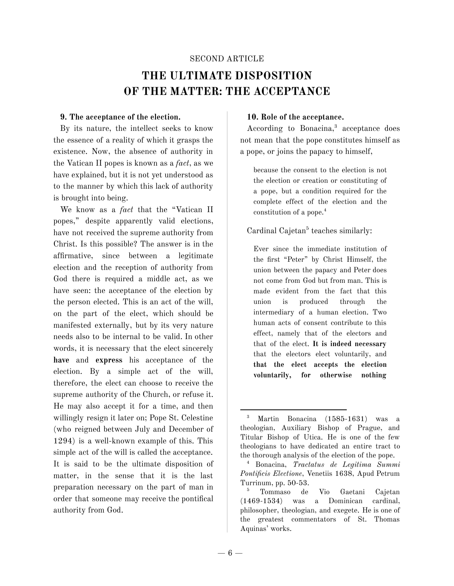# SECOND ARTICLE **THE ULTIMATE DISPOSITION OF THE MATTER: THE ACCEPTANCE**

#### **9. The acceptance of the election.**

By its nature, the intellect seeks to know the essence of a reality of which it grasps the existence. Now, the absence of authority in the Vatican II popes is known as a *fact*, as we have explained, but it is not yet understood as to the manner by which this lack of authority is brought into being.

We know as a *fact* that the "Vatican II popes," despite apparently valid elections, have not received the supreme authority from Christ. Is this possible? The answer is in the affirmative, since between a legitimate election and the reception of authority from God there is required a middle act, as we have seen: the acceptance of the election by the person elected. This is an act of the will, on the part of the elect, which should be manifested externally, but by its very nature needs also to be internal to be valid. In other words, it is necessary that the elect sincerely **have** and **express** his acceptance of the election. By a simple act of the will, therefore, the elect can choose to receive the supreme authority of the Church, or refuse it. He may also accept it for a time, and then willingly resign it later on; Pope St. Celestine (who reigned between July and December of 1294) is a well-known example of this. This simple act of the will is called the acceptance. It is said to be the ultimate disposition of matter, in the sense that it is the last preparation necessary on the part of man in order that someone may receive the pontifical authority from God.

#### **10. Role of the acceptance.**

According to Bonacina, <sup>3</sup> acceptance does not mean that the pope constitutes himself as a pope, or joins the papacy to himself,

because the consent to the election is not the election or creation or constituting of a pope, but a condition required for the complete effect of the election and the constitution of a pope. 4

### Cardinal Cajetan<sup>5</sup> teaches similarly:

Ever since the immediate institution of the first "Peter" by Christ Himself, the union between the papacy and Peter does not come from God but from man. This is made evident from the fact that this union is produced through the intermediary of a human election. Two human acts of consent contribute to this effect, namely that of the electors and that of the elect. **It is indeed necessary** that the electors elect voluntarily, and **that the elect accepts the election voluntarily, for otherwise nothing**

<sup>3</sup> Martin Bonacina (1585-1631) was a theologian, Auxiliary Bishop of Prague, and Titular Bishop of Utica. He is one of the few theologians to have dedicated an entire tract to the thorough analysis of the election of the pope.

<sup>4</sup> Bonacina, *Tractatus de Legitima Summi Pontificis Electione*, Venetiis 1638, Apud Petrum Turrinum, pp. 50-53.

<sup>5</sup> Tommaso de Vio Gaetani Cajetan (1469-1534) was a Dominican cardinal, philosopher, theologian, and exegete. He is one of the greatest commentators of St. Thomas Aquinas' works.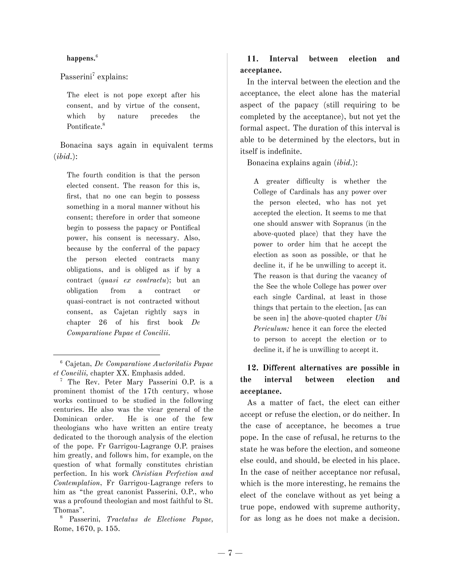#### **happens.** 6

Passerini<sup>7</sup> explains:

The elect is not pope except after his consent, and by virtue of the consent, which by nature precedes the Pontificate. 8

Bonacina says again in equivalent terms (*ibid.*):

The fourth condition is that the person elected consent. The reason for this is, first, that no one can begin to possess something in a moral manner without his consent; therefore in order that someone begin to possess the papacy or Pontifical power, his consent is necessary. Also, because by the conferral of the papacy the person elected contracts many obligations, and is obliged as if by a contract (*quasi ex contractu*); but an obligation from a contract or quasi-contract is not contracted without consent, as Cajetan rightly says in chapter 26 of his first book *De Comparatione Papae et Concilii*.

### **11. Interval between election and acceptance.**

In the interval between the election and the acceptance, the elect alone has the material aspect of the papacy (still requiring to be completed by the acceptance), but not yet the formal aspect. The duration of this interval is able to be determined by the electors, but in itself is indefinite.

Bonacina explains again (*ibid.*):

A greater difficulty is whether the College of Cardinals has any power over the person elected, who has not yet accepted the election. It seems to me that one should answer with Sopranus (in the above-quoted place) that they have the power to order him that he accept the election as soon as possible, or that he decline it, if he be unwilling to accept it. The reason is that during the vacancy of the See the whole College has power over each single Cardinal, at least in those things that pertain to the election, [as can be seen in] the above-quoted chapter *Ubi Periculum:* hence it can force the elected to person to accept the election or to decline it, if he is unwilling to accept it.

# **12. Different alternatives are possible in the interval between election and acceptance.**

As a matter of fact, the elect can either accept or refuse the election, or do neither. In the case of acceptance, he becomes a true pope. In the case of refusal, he returns to the state he was before the election, and someone else could, and should, be elected in his place. In the case of neither acceptance nor refusal, which is the more interesting, he remains the elect of the conclave without as yet being a true pope, endowed with supreme authority, for as long as he does not make a decision.

<sup>6</sup> Cajetan, *De Comparatione Auctoritatis Papae et Concilii,* chapter XX. Emphasis added.

<sup>&</sup>lt;sup>7</sup> The Rev. Peter Mary Passerini O.P. is a prominent thomist of the 17th century, whose works continued to be studied in the following centuries. He also was the vicar general of the Dominican order. He is one of the few theologians who have written an entire treaty dedicated to the thorough analysis of the election of the pope. Fr Garrigou-Lagrange O.P. praises him greatly, and follows him, for example, on the question of what formally constitutes christian perfection. In his work *Christian Perfection and Contemplation*, Fr Garrigou-Lagrange refers to him as "the great canonist Passerini, O.P., who was a profound theologian and most faithful to St. Thomas".

<sup>8</sup> Passerini, *Tractatus de Electione Papae,* Rome, 1670, p. 155.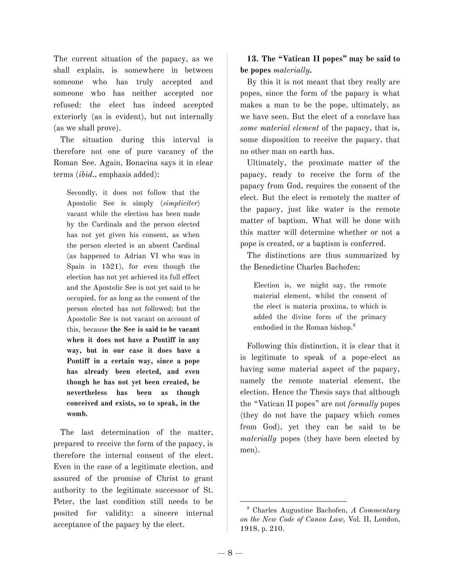The current situation of the papacy, as we shall explain, is somewhere in between someone who has truly accepted and someone who has neither accepted nor refused: the elect has indeed accepted exteriorly (as is evident), but not internally (as we shall prove).

The situation during this interval is therefore not one of pure vacancy of the Roman See. Again, Bonacina says it in clear terms (*ibid*., emphasis added):

Secondly, it does not follow that the Apostolic See is simply (*simpliciter*) vacant while the election has been made by the Cardinals and the person elected has not yet given his consent, as when the person elected is an absent Cardinal (as happened to Adrian VI who was in Spain in 1521), for even though the election has not yet achieved its full effect and the Apostolic See is not yet said to be occupied, for as long as the consent of the person elected has not followed; but the Apostolic See is not vacant on account of this, because **the See is said to be vacant when it does not have a Pontiff in any way, but in our case it does have a Pontiff in a certain way, since a pope has already been elected, and even though he has not yet been created, he nevertheless has been as though conceived and exists, so to speak, in the womb.**

The last determination of the matter, prepared to receive the form of the papacy, is therefore the internal consent of the elect. Even in the case of a legitimate election, and assured of the promise of Christ to grant authority to the legitimate successor of St. Peter, the last condition still needs to be posited for validity: a sincere internal acceptance of the papacy by the elect.

**13. The "Vatican II popes" may be said to be popes** *materially***.**

By this it is not meant that they really are popes, since the form of the papacy is what makes a man to be the pope, ultimately, as we have seen. But the elect of a conclave has *some material element* of the papacy, that is, some disposition to receive the papacy, that no other man on earth has.

Ultimately, the proximate matter of the papacy, ready to receive the form of the papacy from God, requires the consent of the elect. But the elect is remotely the matter of the papacy, just like water is the remote matter of baptism. What will be done with this matter will determine whether or not a pope is created, or a baptism is conferred.

The distinctions are thus summarized by the Benedictine Charles Bachofen:

Election is, we might say, the remote material element, whilst the consent of the elect is materia proxima, to which is added the divine form of the primacy embodied in the Roman bishop. 9

Following this distinction, it is clear that it is legitimate to speak of a pope-elect as having some material aspect of the papacy, namely the remote material element, the election. Hence the Thesis says that although the "Vatican II popes" are not *formally* popes (they do not have the papacy which comes from God), yet they can be said to be *materially* popes (they have been elected by men).

<sup>9</sup> Charles Augustine Bachofen, *A Commentary on the New Code of Canon Law,* Vol. II, London, 1918, p. 210.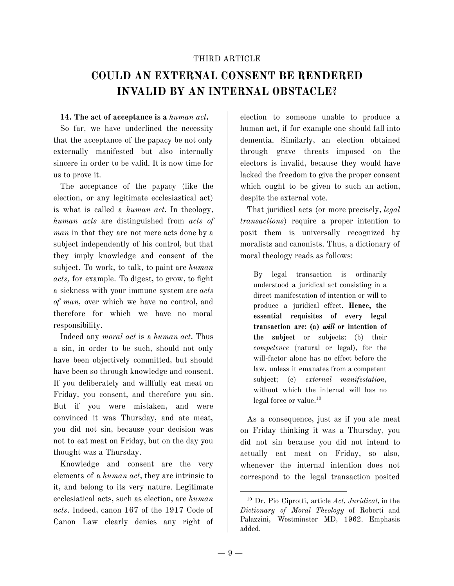#### THIRD ARTICLE

# **COULD AN EXTERNAL CONSENT BE RENDERED INVALID BY AN INTERNAL OBSTACLE?**

#### **14. The act of acceptance is a** *human act***.**

So far, we have underlined the necessity that the acceptance of the papacy be not only externally manifested but also internally sincere in order to be valid. It is now time for us to prove it.

The acceptance of the papacy (like the election, or any legitimate ecclesiastical act) is what is called a *human act*. In theology, *human acts* are distinguished from *acts of man* in that they are not mere acts done by a subject independently of his control, but that they imply knowledge and consent of the subject. To work, to talk, to paint are *human acts,* for example. To digest, to grow, to fight a sickness with your immune system are *acts of man,* over which we have no control, and therefore for which we have no moral responsibility.

Indeed any *moral act* is a *human act*. Thus a sin, in order to be such, should not only have been objectively committed, but should have been so through knowledge and consent. If you deliberately and willfully eat meat on Friday, you consent, and therefore you sin. But if you were mistaken, and were convinced it was Thursday, and ate meat, you did not sin, because your decision was not to eat meat on Friday, but on the day you thought was a Thursday.

Knowledge and consent are the very elements of a *human act*, they are intrinsic to it, and belong to its very nature. Legitimate ecclesiatical acts, such as election, are *human acts*. Indeed, canon 167 of the 1917 Code of Canon Law clearly denies any right of election to someone unable to produce a human act, if for example one should fall into dementia. Similarly, an election obtained through grave threats imposed on the electors is invalid, because they would have lacked the freedom to give the proper consent which ought to be given to such an action, despite the external vote.

That juridical acts (or more precisely, *legal transactions*) require a proper intention to posit them is universally recognized by moralists and canonists. Thus, a dictionary of moral theology reads as follows:

By legal transaction is ordinarily understood a juridical act consisting in a direct manifestation of intention or will to produce a juridical effect. **Hence, the essential requisites of every legal transaction are: (a)** *will* **or intention of the subject** or subjects; (b) their *competence* (natural or legal), for the will-factor alone has no effect before the law, unless it emanates from a competent subject; (c) *external manifestation*, without which the internal will has no legal force or value. 10

As a consequence, just as if you ate meat on Friday thinking it was a Thursday, you did not sin because you did not intend to actually eat meat on Friday, so also, whenever the internal intention does not correspond to the legal transaction posited

<sup>10</sup> Dr. Pio Ciprotti, article *Act, Juridical,* in the *Dictionary of Moral Theology* of Roberti and Palazzini, Westminster MD, 1962. Emphasis added.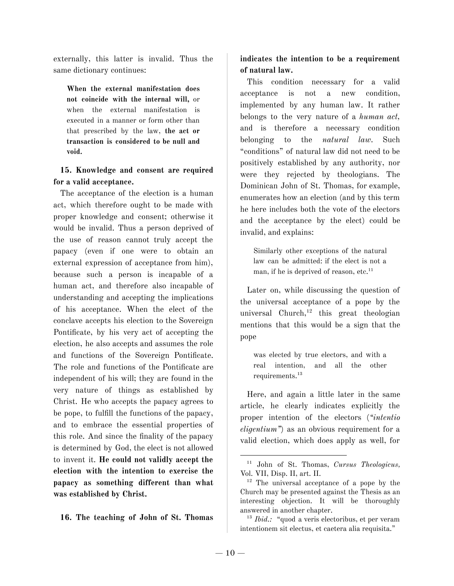externally, this latter is invalid. Thus the same dictionary continues:

**When the external manifestation does not coincide with the internal will,** or when the external manifestation is executed in a manner or form other than that prescribed by the law, **the act or transaction is considered to be null and void.**

# **15. Knowledge and consent are required for a valid acceptance.**

The acceptance of the election is a human act, which therefore ought to be made with proper knowledge and consent; otherwise it would be invalid. Thus a person deprived of the use of reason cannot truly accept the papacy (even if one were to obtain an external expression of acceptance from him), because such a person is incapable of a human act, and therefore also incapable of understanding and accepting the implications of his acceptance. When the elect of the conclave accepts his election to the Sovereign Pontificate, by his very act of accepting the election, he also accepts and assumes the role and functions of the Sovereign Pontificate. The role and functions of the Pontificate are independent of his will; they are found in the very nature of things as established by Christ. He who accepts the papacy agrees to be pope, to fulfill the functions of the papacy, and to embrace the essential properties of this role. And since the finality of the papacy is determined by God, the elect is not allowed to invent it. **He could not validly accept the election with the intention to exercise the papacy as something different than what was established by Christ.**

#### **16. The teaching of John of St. Thomas**

# **indicates the intention to be a requirement of natural law.**

This condition necessary for a valid acceptance is not a new condition, implemented by any human law. It rather belongs to the very nature of a *human act,* and is therefore a necessary condition belonging to the *natural law*. Such "conditions" of natural law did not need to be positively established by any authority, nor were they rejected by theologians. The Dominican John of St. Thomas, for example, enumerates how an election (and by this term he here includes both the vote of the electors and the acceptance by the elect) could be invalid, and explains:

Similarly other exceptions of the natural law can be admitted: if the elect is not a man, if he is deprived of reason, etc.<sup>11</sup>

Later on, while discussing the question of the universal acceptance of a pope by the universal Church,<sup>12</sup> this great theologian mentions that this would be a sign that the pope

was elected by true electors, and with a real intention, and all the other requirements. 13

Here, and again a little later in the same article, he clearly indicates explicitly the proper intention of the electors (*"intentio eligentium"*) as an obvious requirement for a valid election, which does apply as well, for

<sup>11</sup> John of St. Thomas, *Cursus Theologicus,* Vol. VII, Disp. II, art. II.

 $12$  The universal acceptance of a pope by the Church may be presented against the Thesis as an interesting objection. It will be thoroughly answered in another chapter.

<sup>&</sup>lt;sup>13</sup> *Ibid.*: "quod a veris electoribus, et per veram intentionem sit electus, et caetera alia requisita."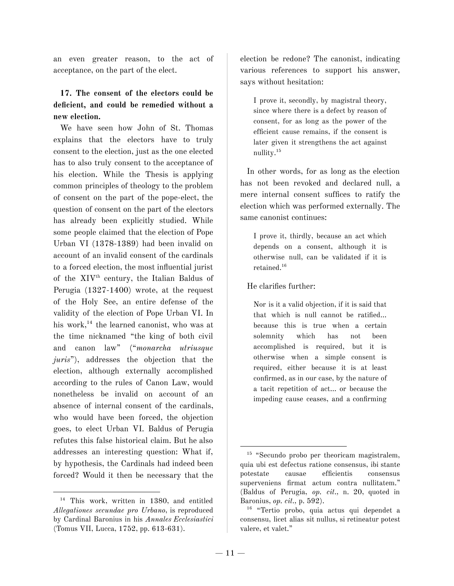an even greater reason, to the act of acceptance, on the part of the elect.

# **17. The consent of the electors could be deficient, and could be remedied without a new election.**

We have seen how John of St. Thomas explains that the electors have to truly consent to the election, just as the one elected has to also truly consent to the acceptance of his election. While the Thesis is applying common principles of theology to the problem of consent on the part of the pope-elect, the question of consent on the part of the electors has already been explicitly studied. While some people claimed that the election of Pope Urban VI (1378-1389) had been invalid on account of an invalid consent of the cardinals to a forced election, the most influential jurist of the XIV th century, the Italian Baldus of Perugia (1327-1400) wrote, at the request of the Holy See, an entire defense of the validity of the election of Pope Urban VI. In his work, 14 the learned canonist, who was at the time nicknamed "the king of both civil and canon law" ("*monarcha utriusque juris*"), addresses the objection that the election, although externally accomplished according to the rules of Canon Law, would nonetheless be invalid on account of an absence of internal consent of the cardinals, who would have been forced, the objection goes, to elect Urban VI. Baldus of Perugia refutes this false historical claim. But he also addresses an interesting question: What if, by hypothesis, the Cardinals had indeed been forced? Would it then be necessary that the

election be redone? The canonist, indicating various references to support his answer, says without hesitation:

I prove it, secondly, by magistral theory, since where there is a defect by reason of consent, for as long as the power of the efficient cause remains, if the consent is later given it strengthens the act against nullity. 15

In other words, for as long as the election has not been revoked and declared null, a mere internal consent suffices to ratify the election which was performed externally. The same canonist continues:

I prove it, thirdly, because an act which depends on a consent, although it is otherwise null, can be validated if it is retained. 16

#### He clarifies further:

Nor is it a valid objection, if it is said that that which is null cannot be ratified… because this is true when a certain solemnity which has not been accomplished is required, but it is otherwise when a simple consent is required, either because it is at least confirmed, as in our case, by the nature of a tacit repetition of act… or because the impeding cause ceases, and a confirming

<sup>&</sup>lt;sup>14</sup> This work, written in 1380, and entitled *Allegationes secundae pro Urbano*, is reproduced by Cardinal Baronius in his *Annales Ecclesiastici* (Tomus VII, Lucca, 1752, pp. 613-631).

<sup>&</sup>lt;sup>15</sup> "Secundo probo per theoricam magistralem, quia ubi est defectus ratione consensus, ibi stante potestate causae efficientis consensus superveniens firmat actum contra nullitatem." (Baldus of Perugia, *op. cit.,* n. 20, quoted in Baronius, *op. cit.,* p. 592).

<sup>16</sup> "Tertio probo, quia actus qui dependet a consensu, licet alias sit nullus, si retineatur potest valere, et valet."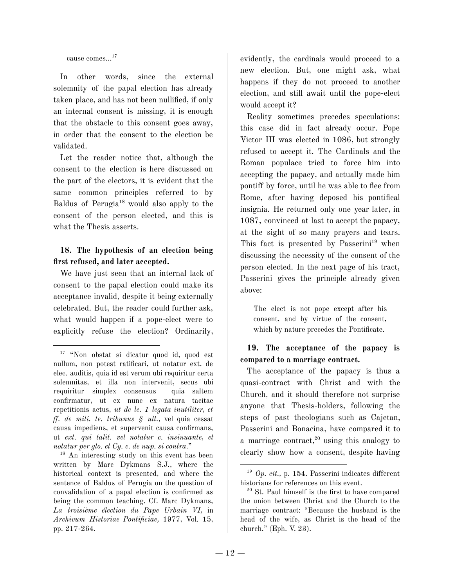cause comes…<sup>17</sup>

In other words, since the external solemnity of the papal election has already taken place, and has not been nullified, if only an internal consent is missing, it is enough that the obstacle to this consent goes away, in order that the consent to the election be validated.

Let the reader notice that, although the consent to the election is here discussed on the part of the electors, it is evident that the same common principles referred to by Baldus of Perugia <sup>18</sup> would also apply to the consent of the person elected, and this is what the Thesis asserts.

# **18. The hypothesis of an election being first refused, and later accepted.**

We have just seen that an internal lack of consent to the papal election could make its acceptance invalid, despite it being externally celebrated. But, the reader could further ask, what would happen if a pope-elect were to explicitly refuse the election? Ordinarily,

<sup>18</sup> An interesting study on this event has been written by Marc Dykmans S.J., where the historical context is presented, and where the sentence of Baldus of Perugia on the question of convalidation of a papal election is confirmed as being the common teaching. Cf. Marc Dykmans, *La troisième élection du Pape Urbain VI,* in *Archivum Historiae Pontificiae,* 1977, Vol. 15, pp. 217-264.

evidently, the cardinals would proceed to a new election. But, one might ask, what happens if they do not proceed to another election, and still await until the pope-elect would accept it?

Reality sometimes precedes speculations: this case did in fact already occur. Pope Victor III was elected in 1086, but strongly refused to accept it. The Cardinals and the Roman populace tried to force him into accepting the papacy, and actually made him pontiff by force, until he was able to flee from Rome, after having deposed his pontifical insignia. He returned only one year later, in 1087, convinced at last to accept the papacy, at the sight of so many prayers and tears. This fact is presented by Passerini<sup>19</sup> when discussing the necessity of the consent of the person elected. In the next page of his tract, Passerini gives the principle already given above:

The elect is not pope except after his consent, and by virtue of the consent, which by nature precedes the Pontificate.

# **19. The acceptance of the papacy is compared to a marriage contract.**

The acceptance of the papacy is thus a quasi-contract with Christ and with the Church, and it should therefore not surprise anyone that Thesis-holders, following the steps of past theologians such as Cajetan, Passerini and Bonacina, have compared it to a marriage contract, <sup>20</sup> using this analogy to clearly show how a consent, despite having

<sup>17</sup> "Non obstat si dicatur quod id, quod est nullum, non potest ratificari, ut notatur ext. de elec. auditis, quia id est verum ubi requiritur certa solemnitas, et illa non intervenit, secus ubi requiritur simplex consensus quia saltem confirmatur, ut ex nunc ex natura tacitae repetitionis actus, *ut de le. 1 legata inutiliter, et ff. de mili. te. tribunus § ult.,* vel quia cessat causa impediens, et supervenit causa confirmans, ut *ext. qui talit. vel notatur c. insinuante, et notatur per glo. et Cy. c. de nup. si contra*."

<sup>19</sup> *Op. cit.,* p. 154. Passerini indicates different historians for references on this event.

<sup>20</sup> St. Paul himself is the first to have compared the union between Christ and the Church to the marriage contract: "Because the husband is the head of the wife, as Christ is the head of the church." (Eph. V, 23).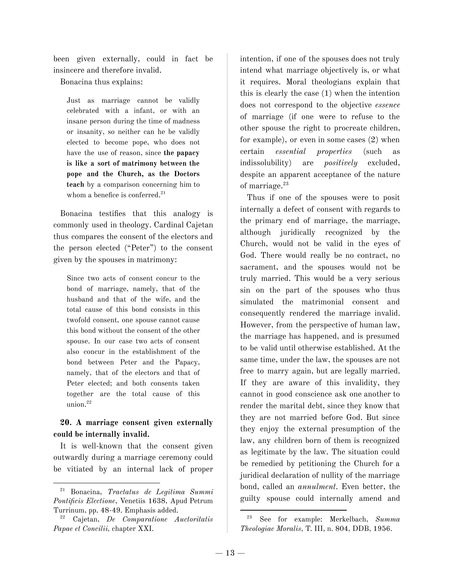been given externally, could in fact be insincere and therefore invalid.

Bonacina thus explains:

Just as marriage cannot be validly celebrated with a infant, or with an insane person during the time of madness or insanity, so neither can he be validly elected to become pope, who does not have the use of reason, since **the papacy is like a sort of matrimony between the pope and the Church, as the Doctors teach** by a comparison concerning him to whom a benefice is conferred. 21

Bonacina testifies that this analogy is commonly used in theology. Cardinal Cajetan thus compares the consent of the electors and the person elected ("Peter") to the consent given by the spouses in matrimony:

Since two acts of consent concur to the bond of marriage, namely, that of the husband and that of the wife, and the total cause of this bond consists in this twofold consent, one spouse cannot cause this bond without the consent of the other spouse. In our case two acts of consent also concur in the establishment of the bond between Peter and the Papacy, namely, that of the electors and that of Peter elected; and both consents taken together are the total cause of this union. 22

# **20. A marriage consent given externally could be internally invalid.**

It is well-known that the consent given outwardly during a marriage ceremony could be vitiated by an internal lack of proper intention, if one of the spouses does not truly intend what marriage objectively is, or what it requires. Moral theologians explain that this is clearly the case (1) when the intention does not correspond to the objective *essence* of marriage (if one were to refuse to the other spouse the right to procreate children, for example), or even in some cases (2) when certain *essential properties* (such as indissolubility) are *positively* excluded, despite an apparent acceptance of the nature of marriage. 23

Thus if one of the spouses were to posit internally a defect of consent with regards to the primary end of marriage, the marriage, although juridically recognized by the Church, would not be valid in the eyes of God. There would really be no contract, no sacrament, and the spouses would not be truly married. This would be a very serious sin on the part of the spouses who thus simulated the matrimonial consent and consequently rendered the marriage invalid. However, from the perspective of human law, the marriage has happened, and is presumed to be valid until otherwise established. At the same time, under the law, the spouses are not free to marry again, but are legally married. If they are aware of this invalidity, they cannot in good conscience ask one another to render the marital debt, since they know that they are not married before God. But since they enjoy the external presumption of the law, any children born of them is recognized as legitimate by the law. The situation could be remedied by petitioning the Church for a juridical declaration of nullity of the marriage bond, called an *annulment*. Even better, the guilty spouse could internally amend and

<sup>21</sup> Bonacina, *Tractatus de Legitima Summi Pontificis Electione*, Venetiis 1638, Apud Petrum Turrinum, pp. 48-49. Emphasis added.

<sup>22</sup> Cajetan, *De Comparatione Auctoritatis Papae et Concilii,* chapter XXI.

<sup>23</sup> See for example: Merkelbach, *Summa Theologiae Moralis*, T. III, n. 804, DDB, 1956.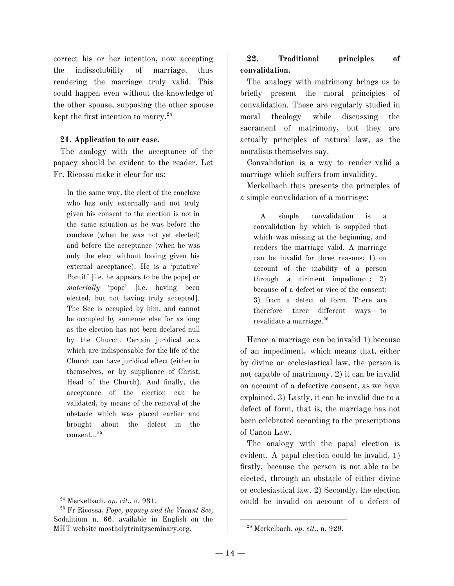correct his or her intention, now accepting the indissolubility of marriage, thus rendering the marriage truly valid. This could happen even without the knowledge of the other spouse, supposing the other spouse kept the first intention to marry.<sup>24</sup>

#### **21. Application to our case.**

The analogy with the acceptance of the papacy should be evident to the reader. Let Fr. Ricossa make it clear for us:

In the same way, the elect of the conclave who has only externally and not truly given his consent to the election is not in the same situation as he was before the conclave (when he was not yet elected) and before the acceptance (when he was only the elect without having given his external acceptance). He is a 'putative' Pontiff [i.e. he appears to be the pope] or *materially* 'pope' [i.e. having been elected, but not having truly accepted]. The See is occupied by him, and cannot be occupied by someone else for as long as the election has not been declared null by the Church. Certain juridical acts which are indispensable for the life of the Church can have juridical effect (either in themselves, or by suppliance of Christ, Head of the Church). And finally, the acceptance of the election can be validated, by means of the removal of the obstacle which was placed earlier and brought about the defect in the consent... 25

### **22. Traditional principles of convalidation.**

The analogy with matrimony brings us to briefly present the moral principles of convalidation. These are regularly studied in moral theology while discussing the sacrament of matrimony, but they are actually principles of natural law, as the moralists themselves say.

Convalidation is a way to render valid a marriage which suffers from invalidity.

Merkelbach thus presents the principles of a simple convalidation of a marriage:

A simple convalidation is a convalidation by which is supplied that which was missing at the beginning, and renders the marriage valid. A marriage can be invalid for three reasons: 1) on account of the inability of a person through a diriment impediment; 2) because of a defect or vice of the consent; 3) from a defect of form. There are therefore three different ways to revalidate a marriage. 26

Hence a marriage can be invalid 1) because of an impediment, which means that, either by divine or ecclesiastical law, the person is not capable of matrimony. 2) it can be invalid on account of a defective consent, as we have explained. 3) Lastly, it can be invalid due to a defect of form, that is, the marriage has not been celebrated according to the prescriptions of Canon Law.

The analogy with the papal election is evident. A papal election could be invalid, 1) firstly, because the person is not able to be elected, through an obstacle of either divine or ecclesiastical law. 2) Secondly, the election could be invalid on account of a defect of

<sup>24</sup> Merkelbach, *op. cit.,* n. 931.

<sup>25</sup> Fr Ricossa, *Pope, papacy and the Vacant See,* Sodalitium n. 66, available in English on the MHT website mostholytrinityseminary.org.

<sup>26</sup> Merkelbach, *op. cit.,* n. 929.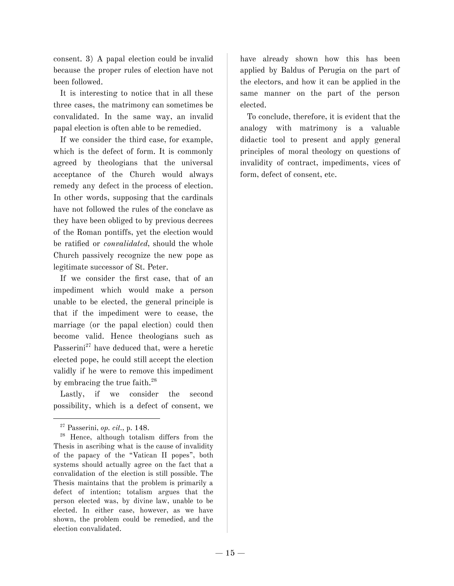consent. 3) A papal election could be invalid because the proper rules of election have not been followed.

It is interesting to notice that in all these three cases, the matrimony can sometimes be convalidated. In the same way, an invalid papal election is often able to be remedied.

If we consider the third case, for example, which is the defect of form. It is commonly agreed by theologians that the universal acceptance of the Church would always remedy any defect in the process of election. In other words, supposing that the cardinals have not followed the rules of the conclave as they have been obliged to by previous decrees of the Roman pontiffs, yet the election would be ratified or *convalidated,* should the whole Church passively recognize the new pope as legitimate successor of St. Peter.

If we consider the first case, that of an impediment which would make a person unable to be elected, the general principle is that if the impediment were to cease, the marriage (or the papal election) could then become valid. Hence theologians such as Passerini<sup>27</sup> have deduced that, were a heretic elected pope, he could still accept the election validly if he were to remove this impediment by embracing the true faith.<sup>28</sup>

Lastly, if we consider the second possibility, which is a defect of consent, we have already shown how this has been applied by Baldus of Perugia on the part of the electors, and how it can be applied in the same manner on the part of the person elected.

To conclude, therefore, it is evident that the analogy with matrimony is a valuable didactic tool to present and apply general principles of moral theology on questions of invalidity of contract, impediments, vices of form, defect of consent, etc.

<sup>27</sup> Passerini, *op. cit.,* p. 148.

<sup>&</sup>lt;sup>28</sup> Hence, although totalism differs from the Thesis in ascribing what is the cause of invalidity of the papacy of the "Vatican II popes", both systems should actually agree on the fact that a convalidation of the election is still possible. The Thesis maintains that the problem is primarily a defect of intention; totalism argues that the person elected was, by divine law, unable to be elected. In either case, however, as we have shown, the problem could be remedied, and the election convalidated.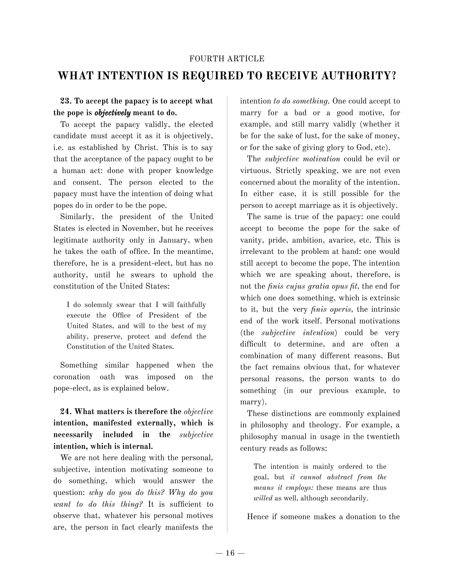#### FOURTH ARTICLE

# **WHAT INTENTION IS REQUIRED TO RECEIVE AUTHORITY?**

# **23. To accept the papacy is to accept what the pope is** *objectively* **meant to do.**

To accept the papacy validly, the elected candidate must accept it as it is objectively, i.e. as established by Christ. This is to say that the acceptance of the papacy ought to be a human act: done with proper knowledge and consent. The person elected to the papacy must have the intention of doing what popes do in order to be the pope.

Similarly, the president of the United States is elected in November, but he receives legitimate authority only in January, when he takes the oath of office. In the meantime, therefore, he is a president-elect, but has no authority, until he swears to uphold the constitution of the United States:

I do solemnly swear that I will faithfully execute the Office of President of the United States, and will to the best of my ability, preserve, protect and defend the Constitution of the United States.

Something similar happened when the coronation oath was imposed on the pope-elect, as is explained below.

**24. What matters is therefore the** *objective* **intention, manifested externally, which is necessarily included in the** *subjective* **intention, which is internal.**

We are not here dealing with the personal, subjective, intention motivating someone to do something, which would answer the question: *why do you do this? Why do you want to do this thing?* It is sufficient to observe that, whatever his personal motives are, the person in fact clearly manifests the intention *to do something.* One could accept to marry for a bad or a good motive, for example, and still marry validly (whether it be for the sake of lust, for the sake of money, or for the sake of giving glory to God, etc).

The *subjective motivation* could be evil or virtuous. Strictly speaking, we are not even concerned about the morality of the intention. In either case, it is still possible for the person to accept marriage as it is objectively.

The same is true of the papacy: one could accept to become the pope for the sake of vanity, pride, ambition, avarice, etc. This is irrelevant to the problem at hand: one would still accept to become the pope. The intention which we are speaking about, therefore, is not the *finis cujus gratia opus fit,* the end for which one does something, which is extrinsic to it, but the very *finis operis,* the intrinsic end of the work itself. Personal motivations (the *subjective intention*) could be very difficult to determine, and are often a combination of many different reasons. But the fact remains obvious that, for whatever personal reasons, the person wants to do something (in our previous example, to marry).

These distinctions are commonly explained in philosophy and theology. For example, a philosophy manual in usage in the twentieth century reads as follows:

The intention is mainly ordered to the goal, but *it cannot abstract from the means it employs:* these means are thus *willed* as well, although secondarily.

Hence if someone makes a donation to the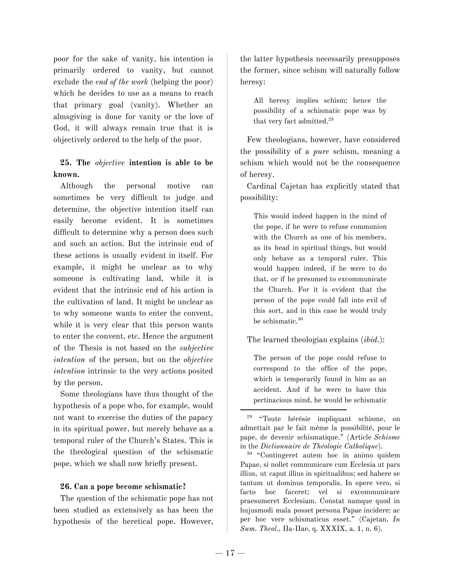poor for the sake of vanity, his intention is primarily ordered to vanity, but cannot exclude the *end of the work* (helping the poor) which he decides to use as a means to reach that primary goal (vanity). Whether an almsgiving is done for vanity or the love of God, it will always remain true that it is objectively ordered to the help of the poor.

# **25. The** *objective* **intention is able to be known.**

Although the personal motive can sometimes be very difficult to judge and determine, the objective intention itself can easily become evident. It is sometimes difficult to determine why a person does such and such an action. But the intrinsic end of these actions is usually evident in itself. For example, it might be unclear as to why someone is cultivating land, while it is evident that the intrinsic end of his action is the cultivation of land. It might be unclear as to why someone wants to enter the convent, while it is very clear that this person wants to enter the convent, etc. Hence the argument of the Thesis is not based on the *subjective intention* of the person, but on the *objective intention* intrinsic to the very actions posited by the person.

Some theologians have thus thought of the hypothesis of a pope who, for example, would not want to exercise the duties of the papacy in its spiritual power, but merely behave as a temporal ruler of the Church's States. This is the theological question of the schismatic pope, which we shall now briefly present.

#### **26. Can a pope become schismatic?**

The question of the schismatic pope has not been studied as extensively as has been the hypothesis of the heretical pope. However, the latter hypothesis necessarily presupposes the former, since schism will naturally follow heresy:

All heresy implies schism: hence the possibility of a schismatic pope was by that very fact admitted. 29

Few theologians, however, have considered the possibility of a *pure* schism, meaning a schism which would not be the consequence of heresy.

Cardinal Cajetan has explicitly stated that possibility:

This would indeed happen in the mind of the pope, if he were to refuse communion with the Church as one of his members, as its head in spiritual things, but would only behave as a temporal ruler. This would happen indeed, if he were to do that, or if he presumed to excommunicate the Church. For it is evident that the person of the pope could fall into evil of this sort, and in this case he would truly be schismatic. 30

#### The learned theologian explains (*ibid.*):

The person of the pope could refuse to correspond to the office of the pope, which is temporarily found in him as an accident. And if he were to have this pertinacious mind, he would be schismatic

<sup>29</sup> "Toute hérésie impliquant schisme, on admettait par le fait même la possibilité, pour le pape, de devenir schismatique." (Article *Schisme* in the *Dictionnaire de Théologie Catholique*).

<sup>30</sup> "Contingeret autem hoc in animo quidem Papae, si nollet communicare cum Ecclesia ut pars illius, ut caput illius in spiritualibus; sed habere se tantum ut dominus temporalis. In opere vero, si facto hoc faceret; vel si excommunicare praesumeret Ecclesiam. Constat namque quod in hujusmodi mala posset persona Papae incidere: ac per hoc vere schismaticus esset." (Cajetan, *In Sum. Theol.,* IIa-IIae, q. XXXIX, a. 1, n. 6).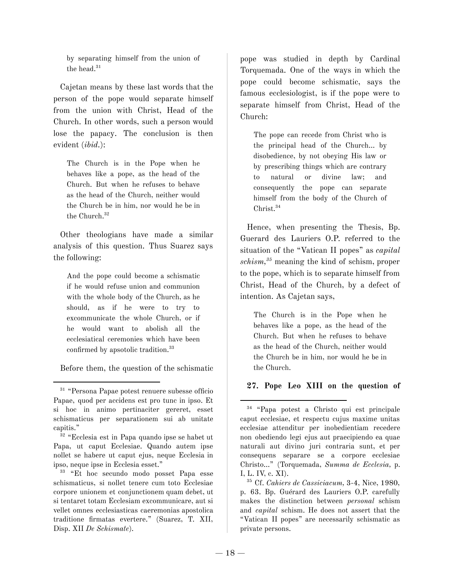by separating himself from the union of the head. 31

Cajetan means by these last words that the person of the pope would separate himself from the union with Christ, Head of the Church. In other words, such a person would lose the papacy. The conclusion is then evident (*ibid.*):

The Church is in the Pope when he behaves like a pope, as the head of the Church. But when he refuses to behave as the head of the Church, neither would the Church be in him, nor would he be in the Church. 32

Other theologians have made a similar analysis of this question. Thus Suarez says the following:

And the pope could become a schismatic if he would refuse union and communion with the whole body of the Church, as he should, as if he were to try to excommunicate the whole Church, or if he would want to abolish all the ecclesiatical ceremonies which have been confirmed by apsotolic tradition. 33

Before them, the question of the schismatic

pope was studied in depth by Cardinal Torquemada. One of the ways in which the pope could become schismatic, says the famous ecclesiologist, is if the pope were to separate himself from Christ, Head of the Church:

The pope can recede from Christ who is the principal head of the Church… by disobedience, by not obeying His law or by prescribing things which are contrary to natural or divine law; and consequently the pope can separate himself from the body of the Church of Christ. 34

Hence, when presenting the Thesis, Bp. Guerard des Lauriers O.P. referred to the situation of the "Vatican II popes" as *capital schism, <sup>35</sup>* meaning the kind of schism, proper to the pope, which is to separate himself from Christ, Head of the Church, by a defect of intention. As Cajetan says,

The Church is in the Pope when he behaves like a pope, as the head of the Church. But when he refuses to behave as the head of the Church, neither would the Church be in him, nor would he be in the Church.

# **27. Pope Leo XIII on the question of**

<sup>31</sup> "Persona Papae potest renuere subesse officio Papae, quod per accidens est pro tunc in ipso. Et si hoc in animo pertinaciter gereret, esset schismaticus per separationem sui ab unitate capitis."

<sup>32</sup> "Ecclesia est in Papa quando ipse se habet ut Papa, ut caput Ecclesiae. Quando autem ipse nollet se habere ut caput ejus, neque Ecclesia in ipso, neque ipse in Ecclesia esset."

<sup>33</sup> "Et hoc secundo modo posset Papa esse schismaticus, si nollet tenere cum toto Ecclesiae corpore unionem et conjunctionem quam debet, ut si tentaret totam Ecclesiam excommunicare, aut si vellet omnes ecclesiasticas caeremonias apostolica traditione firmatas evertere." (Suarez, T. XII, Disp. XII *De Schismate*)*.*

<sup>34</sup> "Papa potest a Christo qui est principale caput ecclesiae, et respectu cujus maxime unitas ecclesiae attenditur per inobedientiam recedere non obediendo legi ejus aut praecipiendo ea quae naturali aut divino juri contraria sunt, et per consequens separare se a corpore ecclesiae Christo…" (Torquemada, *Summa de Ecclesia,* p. I, L. IV, c. XI).

<sup>35</sup> Cf. *Cahiers de Cassiciacum,* 3-4, Nice, 1980, p. 63. Bp. Guérard des Lauriers O.P. carefully makes the distinction between *personal* schism and *capital* schism. He does not assert that the "Vatican II popes" are necessarily schismatic as private persons.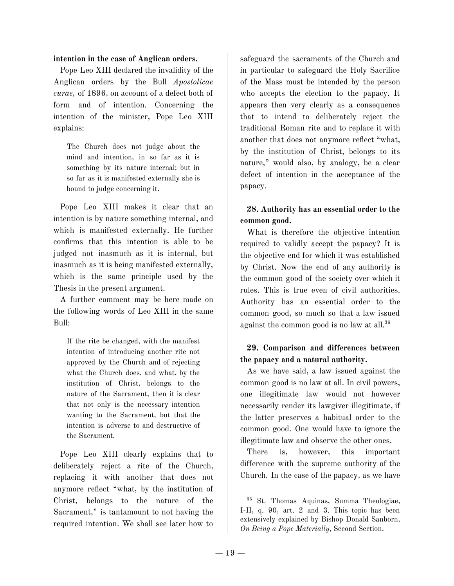#### **intention in the case of Anglican orders.**

Pope Leo XIII declared the invalidity of the Anglican orders by the Bull *Apostolicae curae,* of 1896, on account of a defect both of form and of intention. Concerning the intention of the minister, Pope Leo XIII explains:

The Church does not judge about the mind and intention, in so far as it is something by its nature internal; but in so far as it is manifested externally she is bound to judge concerning it.

Pope Leo XIII makes it clear that an intention is by nature something internal, and which is manifested externally. He further confirms that this intention is able to be judged not inasmuch as it is internal, but inasmuch as it is being manifested externally, which is the same principle used by the Thesis in the present argument.

A further comment may be here made on the following words of Leo XIII in the same Bull:

If the rite be changed, with the manifest intention of introducing another rite not approved by the Church and of rejecting what the Church does, and what, by the institution of Christ, belongs to the nature of the Sacrament, then it is clear that not only is the necessary intention wanting to the Sacrament, but that the intention is adverse to and destructive of the Sacrament.

Pope Leo XIII clearly explains that to deliberately reject a rite of the Church, replacing it with another that does not anymore reflect "what, by the institution of Christ, belongs to the nature of the Sacrament," is tantamount to not having the required intention. We shall see later how to

safeguard the sacraments of the Church and in particular to safeguard the Holy Sacrifice of the Mass must be intended by the person who accepts the election to the papacy. It appears then very clearly as a consequence that to intend to deliberately reject the traditional Roman rite and to replace it with another that does not anymore reflect "what, by the institution of Christ, belongs to its nature," would also, by analogy, be a clear defect of intention in the acceptance of the papacy.

# **28. Authority has an essential order to the common good.**

What is therefore the objective intention required to validly accept the papacy? It is the objective end for which it was established by Christ. Now the end of any authority is the common good of the society over which it rules. This is true even of civil authorities. Authority has an essential order to the common good, so much so that a law issued against the common good is no law at all. 36

# **29. Comparison and differences between the papacy and a natural authority.**

As we have said, a law issued against the common good is no law at all. In civil powers, one illegitimate law would not however necessarily render its lawgiver illegitimate, if the latter preserves a habitual order to the common good. One would have to ignore the illegitimate law and observe the other ones.

There is, however, this important difference with the supreme authority of the Church. In the case of the papacy, as we have

<sup>36</sup> St. Thomas Aquinas, Summa Theologiae, I-II, q. 90, art. 2 and 3. This topic has been extensively explained by Bishop Donald Sanborn, *On Being a Pope Materially*, Second Section.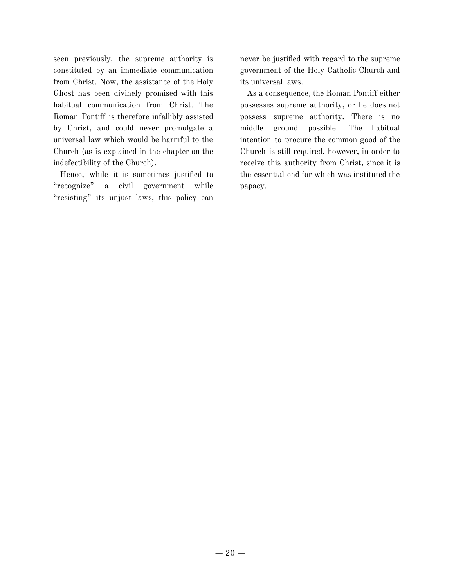seen previously, the supreme authority is constituted by an immediate communication from Christ. Now, the assistance of the Holy Ghost has been divinely promised with this habitual communication from Christ. The Roman Pontiff is therefore infallibly assisted by Christ, and could never promulgate a universal law which would be harmful to the Church (as is explained in the chapter on the indefectibility of the Church).

Hence, while it is sometimes justified to "recognize" a civil government while "resisting" its unjust laws, this policy can

never be justified with regard to the supreme government of the Holy Catholic Church and its universal laws.

As a consequence, the Roman Pontiff either possesses supreme authority, or he does not possess supreme authority. There is no middle ground possible. The habitual intention to procure the common good of the Church is still required, however, in order to receive this authority from Christ, since it is the essential end for which was instituted the papacy.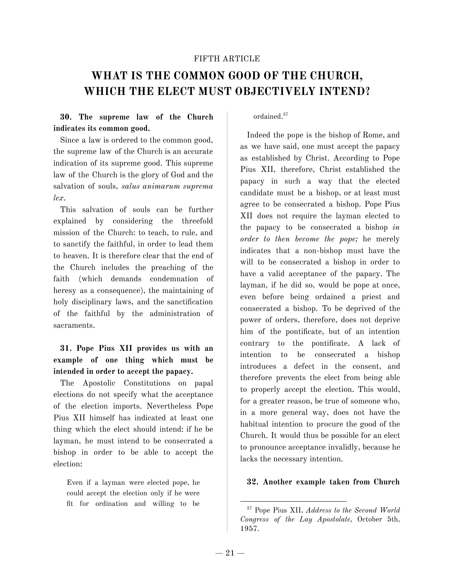#### FIFTH ARTICLE

# **WHAT IS THE COMMON GOOD OF THE CHURCH, WHICH THE ELECT MUST OBJECTIVELY INTEND?**

### **30. The supreme law of the Church indicates its common good.**

Since a law is ordered to the common good, the supreme law of the Church is an accurate indication of its supreme good. This supreme law of the Church is the glory of God and the salvation of souls, *salus animarum suprema lex*.

This salvation of souls can be further explained by considering the threefold mission of the Church: to teach, to rule, and to sanctify the faithful, in order to lead them to heaven. It is therefore clear that the end of the Church includes the preaching of the faith (which demands condemnation of heresy as a consequence), the maintaining of holy disciplinary laws, and the sanctification of the faithful by the administration of sacraments.

# **31. Pope Pius XII provides us with an example of one thing which must be intended in order to accept the papacy.**

The Apostolic Constitutions on papal elections do not specify what the acceptance of the election imports. Nevertheless Pope Pius XII himself has indicated at least one thing which the elect should intend: if he be layman, he must intend to be consecrated a bishop in order to be able to accept the election:

Even if a layman were elected pope, he could accept the election only if he were fit for ordination and willing to be

#### ordained. 37

Indeed the pope is the bishop of Rome, and as we have said, one must accept the papacy as established by Christ. According to Pope Pius XII, therefore, Christ established the papacy in such a way that the elected candidate must be a bishop, or at least must agree to be consecrated a bishop. Pope Pius XII does not require the layman elected to the papacy to be consecrated a bishop *in order to then become the pope;* he merely indicates that a non-bishop must have the will to be consecrated a bishop in order to have a valid acceptance of the papacy. The layman, if he did so, would be pope at once, even before being ordained a priest and consecrated a bishop. To be deprived of the power of orders, therefore, does not deprive him of the pontificate, but of an intention contrary to the pontificate. A lack of intention to be consecrated a bishop introduces a defect in the consent, and therefore prevents the elect from being able to properly accept the election. This would, for a greater reason, be true of someone who, in a more general way, does not have the habitual intention to procure the good of the Church. It would thus be possible for an elect to pronounce acceptance invalidly, because he lacks the necessary intention.

#### **32. Another example taken from Church**

<sup>37</sup> Pope Pius XII, *Address to the Second World Congress of the Lay Apostolate,* October 5th, 1957.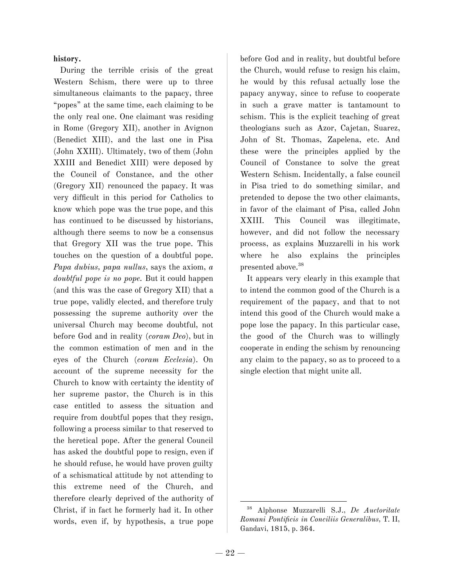#### **history.**

During the terrible crisis of the great Western Schism, there were up to three simultaneous claimants to the papacy, three "popes" at the same time, each claiming to be the only real one. One claimant was residing in Rome (Gregory XII), another in Avignon (Benedict XIII), and the last one in Pisa (John XXIII). Ultimately, two of them (John XXIII and Benedict XIII) were deposed by the Council of Constance, and the other (Gregory XII) renounced the papacy. It was very difficult in this period for Catholics to know which pope was the true pope, and this has continued to be discussed by historians, although there seems to now be a consensus that Gregory XII was the true pope. This touches on the question of a doubtful pope. *Papa dubius, papa nullus*, says the axiom, *a doubtful pope is no pope.* But it could happen (and this was the case of Gregory XII) that a true pope, validly elected, and therefore truly possessing the supreme authority over the universal Church may become doubtful, not before God and in reality (*coram Deo*), but in the common estimation of men and in the eyes of the Church (*coram Ecclesia*). On account of the supreme necessity for the Church to know with certainty the identity of her supreme pastor, the Church is in this case entitled to assess the situation and require from doubtful popes that they resign, following a process similar to that reserved to the heretical pope. After the general Council has asked the doubtful pope to resign, even if he should refuse, he would have proven guilty of a schismatical attitude by not attending to this extreme need of the Church, and therefore clearly deprived of the authority of Christ, if in fact he formerly had it. In other words, even if, by hypothesis, a true pope

before God and in reality, but doubtful before the Church, would refuse to resign his claim, he would by this refusal actually lose the papacy anyway, since to refuse to cooperate in such a grave matter is tantamount to schism. This is the explicit teaching of great theologians such as Azor, Cajetan, Suarez, John of St. Thomas, Zapelena, etc. And these were the principles applied by the Council of Constance to solve the great Western Schism. Incidentally, a false council in Pisa tried to do something similar, and pretended to depose the two other claimants, in favor of the claimant of Pisa, called John XXIII. This Council was illegitimate, however, and did not follow the necessary process, as explains Muzzarelli in his work where he also explains the principles presented above. 38

It appears very clearly in this example that to intend the common good of the Church is a requirement of the papacy, and that to not intend this good of the Church would make a pope lose the papacy. In this particular case, the good of the Church was to willingly cooperate in ending the schism by renouncing any claim to the papacy, so as to proceed to a single election that might unite all.

<sup>38</sup> Alphonse Muzzarelli S.J., *De Auctoritate Romani Pontificis in Conciliis Generalibus,* T. II, Gandavi, 1815, p. 364.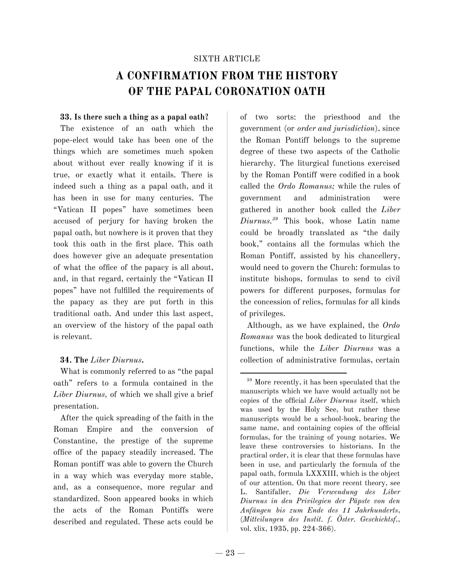#### SIXTH ARTICLE

# **A CONFIRMATION FROM THE HISTORY OF THE PAPAL CORONATION OATH**

#### **33. Is there such a thing as a papal oath?**

The existence of an oath which the pope-elect would take has been one of the things which are sometimes much spoken about without ever really knowing if it is true, or exactly what it entails. There is indeed such a thing as a papal oath, and it has been in use for many centuries. The "Vatican II popes" have sometimes been accused of perjury for having broken the papal oath, but nowhere is it proven that they took this oath in the first place. This oath does however give an adequate presentation of what the office of the papacy is all about, and, in that regard, certainly the "Vatican II popes" have not fulfilled the requirements of the papacy as they are put forth in this traditional oath. And under this last aspect, an overview of the history of the papal oath is relevant.

#### **34. The** *Liber Diurnus***.**

What is commonly referred to as "the papal oath" refers to a formula contained in the *Liber Diurnus,* of which we shall give a brief presentation.

After the quick spreading of the faith in the Roman Empire and the conversion of Constantine, the prestige of the supreme office of the papacy steadily increased. The Roman pontiff was able to govern the Church in a way which was everyday more stable, and, as a consequence, more regular and standardized. Soon appeared books in which the acts of the Roman Pontiffs were described and regulated. These acts could be

of two sorts: the priesthood and the government (or *order and jurisdiction*), since the Roman Pontiff belongs to the supreme degree of these two aspects of the Catholic hierarchy. The liturgical functions exercised by the Roman Pontiff were codified in a book called the *Ordo Romanus;* while the rules of government and administration were gathered in another book called the *Liber Diurnus. <sup>39</sup>* This book, whose Latin name could be broadly translated as "the daily book," contains all the formulas which the Roman Pontiff, assisted by his chancellery, would need to govern the Church: formulas to institute bishops, formulas to send to civil powers for different purposes, formulas for the concession of relics, formulas for all kinds of privileges.

Although, as we have explained, the *Ordo Romanus* was the book dedicated to liturgical functions, while the *Liber Diurnus* was a collection of administrative formulas, certain

<sup>39</sup> More recently, it has been speculated that the manuscripts which we have would actually not be copies of the official *Liber Diurnus* itself, which was used by the Holy See, but rather these manuscripts would be a school-book, bearing the same name, and containing copies of the official formulas, for the training of young notaries. We leave these controversies to historians. In the practical order, it is clear that these formulas have been in use, and particularly the formula of the papal oath, formula LXXXIII, which is the object of our attention. On that more recent theory, see L. Santifaller, *Die Verwendung des Liber Diurnus in den Privilegien der Päpste von den Anfängen bis zum Ende des 11 Jahrhunderts*, (*Mitteilungen des Instit. f. Öster. Geschichtsf.*, vol. xlix, 1935, pp. 224-366).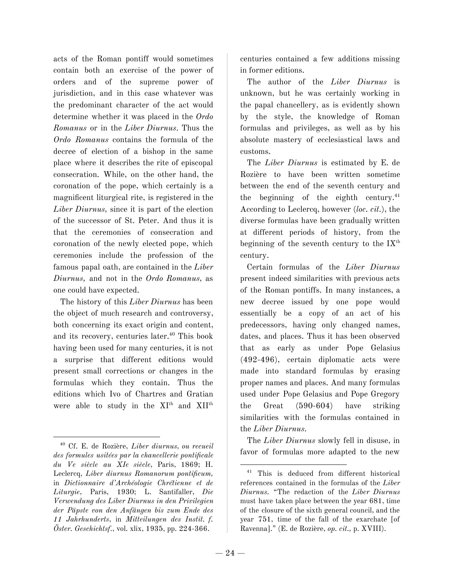acts of the Roman pontiff would sometimes contain both an exercise of the power of orders and of the supreme power of jurisdiction, and in this case whatever was the predominant character of the act would determine whether it was placed in the *Ordo Romanus* or in the *Liber Diurnus*. Thus the *Ordo Romanus* contains the formula of the decree of election of a bishop in the same place where it describes the rite of episcopal consecration. While, on the other hand, the coronation of the pope, which certainly is a magnificent liturgical rite, is registered in the *Liber Diurnus,* since it is part of the election of the successor of St. Peter. And thus it is that the ceremonies of consecration and coronation of the newly elected pope, which ceremonies include the profession of the famous papal oath, are contained in the *Liber Diurnus,* and not in the *Ordo Romanus,* as one could have expected.

The history of this *Liber Diurnus* has been the object of much research and controversy, both concerning its exact origin and content, and its recovery, centuries later. <sup>40</sup> This book having been used for many centuries, it is not a surprise that different editions would present small corrections or changes in the formulas which they contain. Thus the editions which Ivo of Chartres and Gratian were able to study in the XI<sup>th</sup> and XII<sup>th</sup>

centuries contained a few additions missing in former editions.

The author of the *Liber Diurnus* is unknown, but he was certainly working in the papal chancellery, as is evidently shown by the style, the knowledge of Roman formulas and privileges, as well as by his absolute mastery of ecclesiastical laws and customs.

The *Liber Diurnus* is estimated by E. de Rozière to have been written sometime between the end of the seventh century and the beginning of the eighth century. 41 According to Leclercq, however (*loc. cit.*), the diverse formulas have been gradually written at different periods of history, from the beginning of the seventh century to the  $\mathrm{IX}^\mathrm{th}$ century.

Certain formulas of the *Liber Diurnus* present indeed similarities with previous acts of the Roman pontiffs. In many instances, a new decree issued by one pope would essentially be a copy of an act of his predecessors, having only changed names, dates, and places. Thus it has been observed that as early as under Pope Gelasius (492-496), certain diplomatic acts were made into standard formulas by erasing proper names and places. And many formulas used under Pope Gelasius and Pope Gregory the Great (590-604) have striking similarities with the formulas contained in the *Liber Diurnus.*

The *Liber Diurnus* slowly fell in disuse, in favor of formulas more adapted to the new

<sup>40</sup> Cf. E. de Rozière, *Liber diurnus, ou recueil des formules usitées par la chancellerie pontificale du Ve siècle au XIe siècle*, Paris, 1869; H. Leclercq, *Liber diurnus Romanorum pontificum,* in *Dictionnaire d'Archéologie Chrétienne et de Liturgie*, Paris, 1930; L. Santifaller, *Die Verwendung des Liber Diurnus in den Privilegien der Päpste von den Anfängen bis zum Ende des 11 Jahrhunderts*, in *Mitteilungen des Instit. f. Öster. Geschichtsf.*, vol. xlix, 1935, pp. 224-366.

<sup>41</sup> This is deduced from different historical references contained in the formulas of the *Liber Diurnus.* "The redaction of the *Liber Diurnus* must have taken place between the year 681, time of the closure of the sixth general council, and the year 751, time of the fall of the exarchate [of Ravenna]." (E. de Rozière, *op. cit.,* p. XVIII).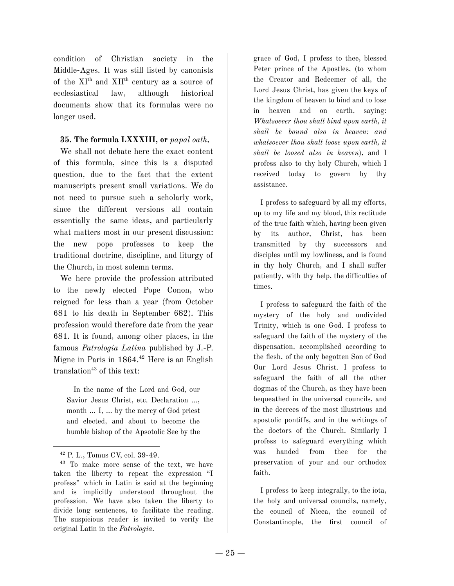condition of Christian society in the Middle-Ages. It was still listed by canonists of the  $XI<sup>th</sup>$  and  $XII<sup>th</sup>$  century as a source of ecclesiastical law, although historical documents show that its formulas were no longer used.

#### **35. The formula LXXXIII, or** *papal oath.*

We shall not debate here the exact content of this formula, since this is a disputed question, due to the fact that the extent manuscripts present small variations. We do not need to pursue such a scholarly work, since the different versions all contain essentially the same ideas, and particularly what matters most in our present discussion: the new pope professes to keep the traditional doctrine, discipline, and liturgy of the Church, in most solemn terms.

We here provide the profession attributed to the newly elected Pope Conon, who reigned for less than a year (from October 681 to his death in September 682). This profession would therefore date from the year 681. It is found, among other places, in the famous *Patrologia Latina* published by J.-P. Migne in Paris in 1864. <sup>42</sup> Here is an English translation <sup>43</sup> of this text:

In the name of the Lord and God, our Savior Jesus Christ, etc. Declaration …, month … I, … by the mercy of God priest and elected, and about to become the humble bishop of the Apsotolic See by the

grace of God, I profess to thee, blessed Peter prince of the Apostles, (to whom the Creator and Redeemer of all, the Lord Jesus Christ, has given the keys of the kingdom of heaven to bind and to lose in heaven and on earth, saying: *Whatsoever thou shalt bind upon earth, it shall be bound also in heaven: and whatsoever thou shalt loose upon earth, it shall be loosed also in heaven*), and I profess also to thy holy Church, which I received today to govern by thy assistance.

I profess to safeguard by all my efforts, up to my life and my blood, this rectitude of the true faith which, having been given by its author, Christ, has been transmitted by thy successors and disciples until my lowliness, and is found in thy holy Church, and I shall suffer patiently, with thy help, the difficulties of times.

I profess to safeguard the faith of the mystery of the holy and undivided Trinity, which is one God. I profess to safeguard the faith of the mystery of the dispensation, accomplished according to the flesh, of the only begotten Son of God Our Lord Jesus Christ. I profess to safeguard the faith of all the other dogmas of the Church, as they have been bequeathed in the universal councils, and in the decrees of the most illustrious and apostolic pontiffs, and in the writings of the doctors of the Church. Similarly I profess to safeguard everything which was handed from thee for the preservation of your and our orthodox faith.

I profess to keep integrally, to the iota, the holy and universal councils, namely, the council of Nicea, the council of Constantinople, the first council of

<sup>42</sup> P. L., Tomus CV, col. 39-49.

<sup>43</sup> To make more sense of the text, we have taken the liberty to repeat the expression "I profess" which in Latin is said at the beginning and is implicitly understood throughout the profession. We have also taken the liberty to divide long sentences, to facilitate the reading. The suspicious reader is invited to verify the original Latin in the *Patrologia.*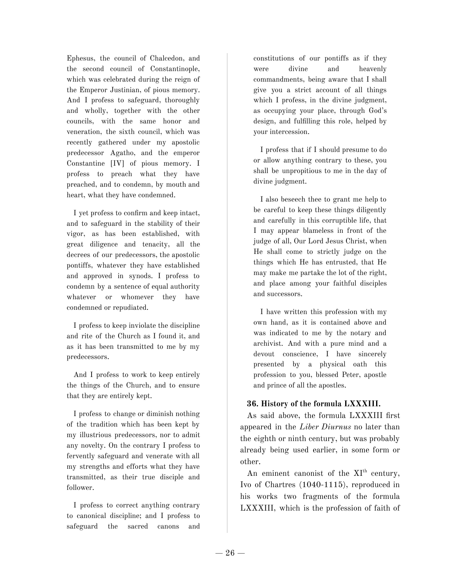Ephesus, the council of Chalcedon, and the second council of Constantinople, which was celebrated during the reign of the Emperor Justinian, of pious memory. And I profess to safeguard, thoroughly and wholly, together with the other councils, with the same honor and veneration, the sixth council, which was recently gathered under my apostolic predecessor Agatho, and the emperor Constantine [IV] of pious memory. I profess to preach what they have preached, and to condemn, by mouth and heart, what they have condemned.

I yet profess to confirm and keep intact, and to safeguard in the stability of their vigor, as has been established, with great diligence and tenacity, all the decrees of our predecessors, the apostolic pontiffs, whatever they have established and approved in synods. I profess to condemn by a sentence of equal authority whatever or whomever they have condemned or repudiated.

I profess to keep inviolate the discipline and rite of the Church as I found it, and as it has been transmitted to me by my predecessors.

And I profess to work to keep entirely the things of the Church, and to ensure that they are entirely kept.

I profess to change or diminish nothing of the tradition which has been kept by my illustrious predecessors, nor to admit any novelty. On the contrary I profess to fervently safeguard and venerate with all my strengths and efforts what they have transmitted, as their true disciple and follower.

I profess to correct anything contrary to canonical discipline; and I profess to safeguard the sacred canons and

constitutions of our pontiffs as if they were divine and heavenly commandments, being aware that I shall give you a strict account of all things which I profess, in the divine judgment, as occupying your place, through God's design, and fulfilling this role, helped by your intercession.

I profess that if I should presume to do or allow anything contrary to these, you shall be unpropitious to me in the day of divine judgment.

I also beseech thee to grant me help to be careful to keep these things diligently and carefully in this corruptible life, that I may appear blameless in front of the judge of all, Our Lord Jesus Christ, when He shall come to strictly judge on the things which He has entrusted, that He may make me partake the lot of the right, and place among your faithful disciples and successors.

I have written this profession with my own hand, as it is contained above and was indicated to me by the notary and archivist. And with a pure mind and a devout conscience, I have sincerely presented by a physical oath this profession to you, blessed Peter, apostle and prince of all the apostles.

# **36. History of the formula LXXXIII.**

As said above, the formula LXXXIII first appeared in the *Liber Diurnus* no later than the eighth or ninth century, but was probably already being used earlier, in some form or other.

An eminent canonist of the XI<sup>th</sup> century, Ivo of Chartres (1040-1115), reproduced in his works two fragments of the formula LXXXIII, which is the profession of faith of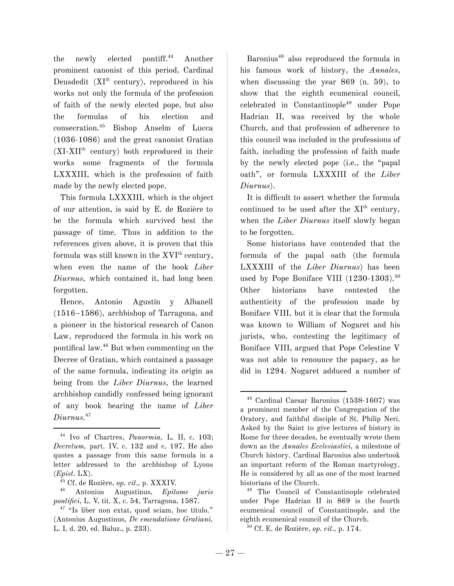the newly elected pontiff.<sup>44</sup> Another prominent canonist of this period, Cardinal Deusdedit (XI<sup>th</sup> century), reproduced in his works not only the formula of the profession of faith of the newly elected pope, but also the formulas of his election and consecration. <sup>45</sup> Bishop Anselm of Lucca (1036-1086) and the great canonist Gratian (XI-XII th century) both reproduced in their works some fragments of the formula LXXXIII, which is the profession of faith made by the newly elected pope.

This formula LXXXIII, which is the object of our attention, is said by E. de Rozière to be the formula which survived best the passage of time. Thus in addition to the references given above, it is proven that this formula was still known in the XVI<sup>th</sup> century, when even the name of the book *Liber Diurnus,* which contained it, had long been forgotten.

Hence, Antonio Agustín y Albanell (1516–1586), archbishop of Tarragona, and a pioneer in the historical research of Canon Law, reproduced the formula in his work on pontifical law. <sup>46</sup> But when commenting on the Decree of Gratian, which contained a passage of the same formula, indicating its origin as being from the *Liber Diurnus,* the learned archbishop candidly confessed being ignorant of any book bearing the name of *Liber Diurnus.* 47

Baronius <sup>48</sup> also reproduced the formula in his famous work of history, the *Annales,* when discussing the year 869 (n. 59), to show that the eighth ecumenical council, celebrated in Constantinople <sup>49</sup> under Pope Hadrian II, was received by the whole Church, and that profession of adherence to this council was included in the professions of faith, including the profession of faith made by the newly elected pope (i.e., the "papal oath", or formula LXXXIII of the *Liber Diurnus*).

It is difficult to assert whether the formula continued to be used after the XI<sup>th</sup> century, when the *Liber Diurnus* itself slowly began to be forgotten.

Some historians have contended that the formula of the papal oath (the formula LXXXIII of the *Liber Diurnus*) has been used by Pope Boniface VIII (1230-1303). 50 Other historians have contested the authenticity of the profession made by Boniface VIII, but it is clear that the formula was known to William of Nogaret and his jurists, who, contesting the legitimacy of Boniface VIII, argued that Pope Celestine V was not able to renounce the papacy, as he did in 1294. Nogaret adduced a number of

<sup>44</sup> Ivo of Chartres, *Panormia,* L. II, c. 103; *Decretum,* part. IV, c. 132 and c. 197. He also quotes a passage from this same formula in a letter addressed to the archbishop of Lyons (*Epist.* LX).

<sup>45</sup> Cf. de Rozière, *op. cit.,* p. XXXIV.

<sup>46</sup> Antonius Augustinus, *Epitome juris pontifici,* L. V, tit. X, c. 54, Tarragona, 1587.

<sup>47</sup> "Is liber non extat, quod sciam, hoc titulo." (Antonius Augustinus, *De emendatione Gratiani,* L. I, d. 20, ed. Baluz., p. 233).

<sup>48</sup> Cardinal Caesar Baronius (1538-1607) was a prominent member of the Congregation of the Oratory, and faithful disciple of St. Philip Neri. Asked by the Saint to give lectures of history in Rome for three decades, he eventually wrote them down as the *Annales Ecclesiastici,* a milestone of Church history. Cardinal Baronius also undertook an important reform of the Roman martyrology. He is considered by all as one of the most learned historians of the Church.

<sup>49</sup> The Council of Constantinople celebrated under Pope Hadrian II in 869 is the fourth ecumenical council of Constantinople, and the eighth ecumenical council of the Church.

<sup>50</sup> Cf. E. de Rozière, *op. cit.,* p. 174.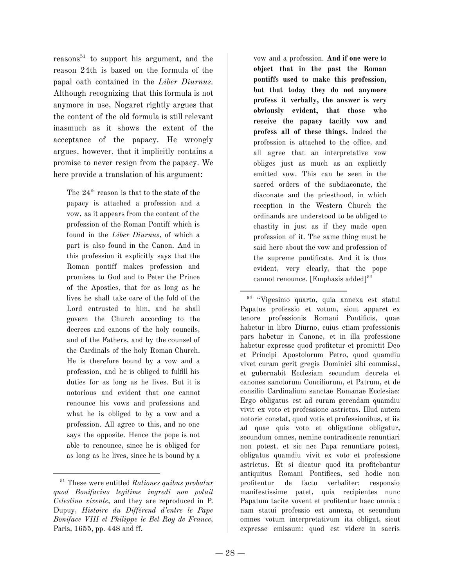reasons<sup>51</sup> to support his argument, and the reason 24th is based on the formula of the papal oath contained in the *Liber Diurnus.* Although recognizing that this formula is not anymore in use, Nogaret rightly argues that the content of the old formula is still relevant inasmuch as it shows the extent of the acceptance of the papacy. He wrongly argues, however, that it implicitly contains a promise to never resign from the papacy. We here provide a translation of his argument:

The  $24<sup>th</sup>$  reason is that to the state of the papacy is attached a profession and a vow, as it appears from the content of the profession of the Roman Pontiff which is found in the *Liber Diurnus,* of which a part is also found in the Canon. And in this profession it explicitly says that the Roman pontiff makes profession and promises to God and to Peter the Prince of the Apostles, that for as long as he lives he shall take care of the fold of the Lord entrusted to him, and he shall govern the Church according to the decrees and canons of the holy councils, and of the Fathers, and by the counsel of the Cardinals of the holy Roman Church. He is therefore bound by a vow and a profession, and he is obliged to fulfill his duties for as long as he lives. But it is notorious and evident that one cannot renounce his vows and professions and what he is obliged to by a vow and a profession. All agree to this, and no one says the opposite. Hence the pope is not able to renounce, since he is obliged for as long as he lives, since he is bound by a

vow and a profession. **And if one were to object that in the past the Roman pontiffs used to make this profession, but that today they do not anymore profess it verbally, the answer is very obviously evident, that those who receive the papacy tacitly vow and profess all of these things.** Indeed the profession is attached to the office, and all agree that an interpretative vow obliges just as much as an explicitly emitted vow. This can be seen in the sacred orders of the subdiaconate, the diaconate and the priesthood, in which reception in the Western Church the ordinands are understood to be obliged to chastity in just as if they made open profession of it. The same thing must be said here about the vow and profession of the supreme pontificate. And it is thus evident, very clearly, that the pope cannot renounce. [Emphasis added] 52

<sup>52</sup> "Vigesimo quarto, quia annexa est statui Papatus professio et votum, sicut apparet ex tenore professionis Romani Pontificis, quae habetur in libro Diurno, cuius etiam professionis pars habetur in Canone, et in illa professione habetur expresse quod profitetur et promittit Deo et Principi Apostolorum Petro, quod quamdiu vivet curam gerit gregis Dominici sibi commissi, et gubernabit Ecclesiam secundum decreta et canones sanctorum Conciliorum, et Patrum, et de consilio Cardinalium sanctae Romanae Ecclesiae: Ergo obligatus est ad curam gerendam quamdiu vivit ex voto et professione astrictus. Illud autem notorie constat, quod votis et professionibus, et iis ad quae quis voto et obligatione obligatur, secundum omnes, nemine contradicente renuntiari non potest, et sic nec Papa renuntiare potest, obligatus quamdiu vivit ex voto et professione astrictus. Et si dicatur quod ita profitebantur antiquitus Romani Pontifices, sed hodie non profitentur de facto verbaliter: responsio manifestissime patet, quia recipientes nunc Papatum tacite vovent et profitentur haec omnia : nam statui professio est annexa, et secundum omnes votum interpretativum ita obligat, sicut expresse emissum: quod est videre in sacris

<sup>51</sup> These were entitled *Rationes quibus probatur quod Bonifacius legitime ingredi non potuit Celestino vivente*, and they are reproduced in P. Dupuy, *Histoire du Différend d'entre le Pape Boniface VIII et Philippe le Bel Roy de France*, Paris, 1655, pp. 448 and ff.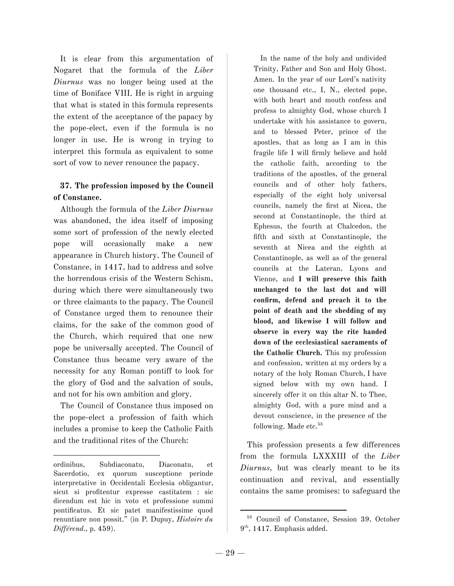It is clear from this argumentation of Nogaret that the formula of the *Liber Diurnus* was no longer being used at the time of Boniface VIII. He is right in arguing that what is stated in this formula represents the extent of the acceptance of the papacy by the pope-elect, even if the formula is no longer in use. He is wrong in trying to interpret this formula as equivalent to some sort of vow to never renounce the papacy.

# **37. The profession imposed by the Council of Constance.**

Although the formula of the *Liber Diurnus* was abandoned, the idea itself of imposing some sort of profession of the newly elected pope will occasionally make a new appearance in Church history. The Council of Constance, in 1417, had to address and solve the horrendous crisis of the Western Schism, during which there were simultaneously two or three claimants to the papacy. The Council of Constance urged them to renounce their claims, for the sake of the common good of the Church, which required that one new pope be universally accepted. The Council of Constance thus became very aware of the necessity for any Roman pontiff to look for the glory of God and the salvation of souls, and not for his own ambition and glory.

The Council of Constance thus imposed on the pope-elect a profession of faith which includes a promise to keep the Catholic Faith and the traditional rites of the Church:

In the name of the holy and undivided Trinity, Father and Son and Holy Ghost. Amen. In the year of our Lord's nativity one thousand etc., I, N., elected pope, with both heart and mouth confess and profess to almighty God, whose church I undertake with his assistance to govern, and to blessed Peter, prince of the apostles, that as long as I am in this fragile life I will firmly believe and hold the catholic faith, according to the traditions of the apostles, of the general councils and of other holy fathers, especially of the eight holy universal councils, namely the first at Nicea, the second at Constantinople, the third at Ephesus, the fourth at Chalcedon, the fifth and sixth at Constantinople, the seventh at Nicea and the eighth at Constantinople, as well as of the general councils at the Lateran, Lyons and Vienne, and **I will preserve this faith unchanged to the last dot and will confirm, defend and preach it to the point of death and the shedding of my blood, and likewise I will follow and observe in every way the rite handed down of the ecclesiastical sacraments of the Catholic Church.** This my profession and confession, written at my orders by a notary of the holy Roman Church, I have signed below with my own hand. I sincerely offer it on this altar N. to Thee, almighty God, with a pure mind and a devout conscience, in the presence of the following. Made etc.<sup>53</sup>

This profession presents a few differences from the formula LXXXIII of the *Liber Diurnus,* but was clearly meant to be its continuation and revival, and essentially contains the same promises: to safeguard the

ordinibus, Subdiaconatu, Diaconatu, et Sacerdotio, ex quorum susceptione perinde interpretative in Occidentali Ecclesia obligantur, sicut si profitentur expresse castitatem : sic dicendum est hic in voto et professione summi pontificatus. Et sic patet manifestissime quod renuntiare non possit." (in P. Dupuy, *Histoire du Différend.,* p. 459).

<sup>53</sup> Council of Constance, Session 39, October 9<sup>th</sup>, 1417. Emphasis added.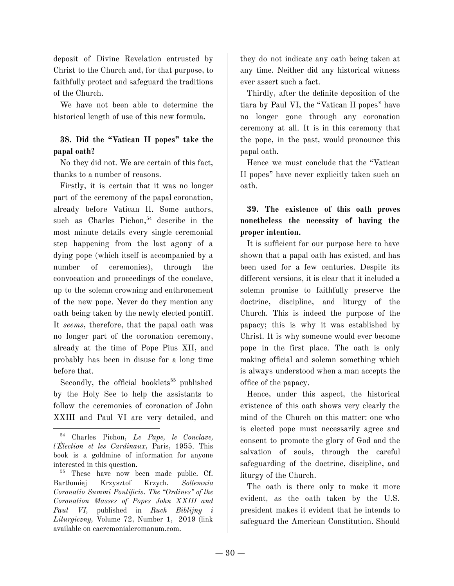deposit of Divine Revelation entrusted by Christ to the Church and, for that purpose, to faithfully protect and safeguard the traditions of the Church.

We have not been able to determine the historical length of use of this new formula.

# **38. Did the "Vatican II popes" take the papal oath?**

No they did not. We are certain of this fact, thanks to a number of reasons.

Firstly, it is certain that it was no longer part of the ceremony of the papal coronation, already before Vatican II. Some authors, such as Charles Pichon, <sup>54</sup> describe in the most minute details every single ceremonial step happening from the last agony of a dying pope (which itself is accompanied by a number of ceremonies), through the convocation and proceedings of the conclave, up to the solemn crowning and enthronement of the new pope. Never do they mention any oath being taken by the newly elected pontiff. It *seems*, therefore, that the papal oath was no longer part of the coronation ceremony, already at the time of Pope Pius XII, and probably has been in disuse for a long time before that.

Secondly, the official booklets<sup>55</sup> published by the Holy See to help the assistants to follow the ceremonies of coronation of John XXIII and Paul VI are very detailed, and

they do not indicate any oath being taken at any time. Neither did any historical witness ever assert such a fact.

Thirdly, after the definite deposition of the tiara by Paul VI, the "Vatican II popes" have no longer gone through any coronation ceremony at all. It is in this ceremony that the pope, in the past, would pronounce this papal oath.

Hence we must conclude that the "Vatican II popes" have never explicitly taken such an oath.

# **39. The existence of this oath proves nonetheless the necessity of having the proper intention.**

It is sufficient for our purpose here to have shown that a papal oath has existed, and has been used for a few centuries. Despite its different versions, it is clear that it included a solemn promise to faithfully preserve the doctrine, discipline, and liturgy of the Church. This is indeed the purpose of the papacy; this is why it was established by Christ. It is why someone would ever become pope in the first place. The oath is only making official and solemn something which is always understood when a man accepts the office of the papacy.

Hence, under this aspect, the historical existence of this oath shows very clearly the mind of the Church on this matter: one who is elected pope must necessarily agree and consent to promote the glory of God and the salvation of souls, through the careful safeguarding of the doctrine, discipline, and liturgy of the Church.

The oath is there only to make it more evident, as the oath taken by the U.S. president makes it evident that he intends to safeguard the American Constitution. Should

<sup>54</sup> Charles Pichon, *Le Pape, le Conclave, l'Élection et les Cardinaux,* Paris, 1955. This book is a goldmine of information for anyone interested in this question.

<sup>55</sup> These have now been made public. Cf. Bartłomiej Krzysztof Krzych, *Sollemnia Coronatio Summi Pontificis. The "Ordines" of the Coronation Masses of Popes John XXIII and Paul VI,* published in *Ruch Biblijny i Liturgiczny,* Volume 72, Number 1, 2019 (link available on caeremonialeromanum.com.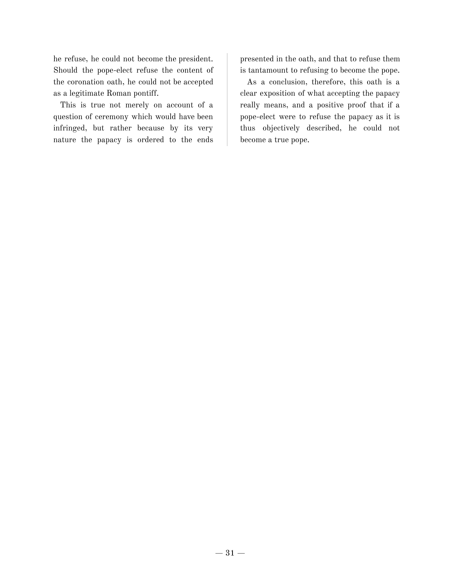he refuse, he could not become the president. Should the pope-elect refuse the content of the coronation oath, he could not be accepted as a legitimate Roman pontiff.

This is true not merely on account of a question of ceremony which would have been infringed, but rather because by its very nature the papacy is ordered to the ends

presented in the oath, and that to refuse them is tantamount to refusing to become the pope.

As a conclusion, therefore, this oath is a clear exposition of what accepting the papacy really means, and a positive proof that if a pope-elect were to refuse the papacy as it is thus objectively described, he could not become a true pope.